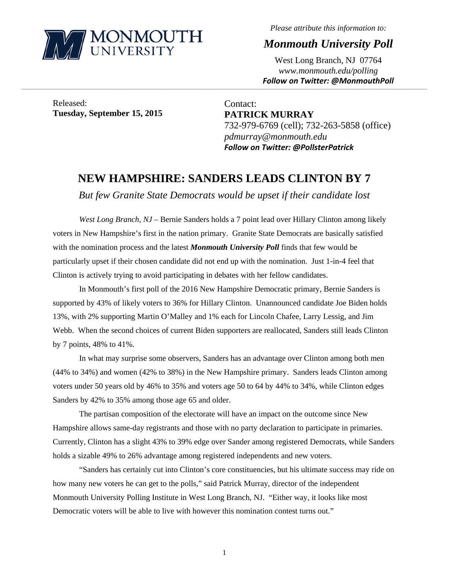

*Please attribute this information to:* 

*Monmouth University Poll* 

West Long Branch, NJ 07764 *www.monmouth.edu/polling Follow on Twitter: @MonmouthPoll*

Released: **Tuesday, September 15, 2015** 

Contact: **PATRICK MURRAY**  732-979-6769 (cell); 732-263-5858 (office) *pdmurray@monmouth.edu Follow on Twitter: @PollsterPatrick*

## **NEW HAMPSHIRE: SANDERS LEADS CLINTON BY 7**

,一个人的人都是不是,我们的人都是不是,我们的人都是不是,我们的人都是不是,我们的人都是不是,我们的人都是不是,我们的人都是不是,我们的人都是不是,我们的人都是不

*But few Granite State Democrats would be upset if their candidate lost* 

*West Long Branch, NJ* – Bernie Sanders holds a 7 point lead over Hillary Clinton among likely voters in New Hampshire's first in the nation primary. Granite State Democrats are basically satisfied with the nomination process and the latest *Monmouth University Poll* finds that few would be particularly upset if their chosen candidate did not end up with the nomination. Just 1-in-4 feel that Clinton is actively trying to avoid participating in debates with her fellow candidates.

In Monmouth's first poll of the 2016 New Hampshire Democratic primary, Bernie Sanders is supported by 43% of likely voters to 36% for Hillary Clinton. Unannounced candidate Joe Biden holds 13%, with 2% supporting Martin O'Malley and 1% each for Lincoln Chafee, Larry Lessig, and Jim Webb. When the second choices of current Biden supporters are reallocated, Sanders still leads Clinton by 7 points, 48% to 41%.

In what may surprise some observers, Sanders has an advantage over Clinton among both men (44% to 34%) and women (42% to 38%) in the New Hampshire primary. Sanders leads Clinton among voters under 50 years old by 46% to 35% and voters age 50 to 64 by 44% to 34%, while Clinton edges Sanders by 42% to 35% among those age 65 and older.

The partisan composition of the electorate will have an impact on the outcome since New Hampshire allows same-day registrants and those with no party declaration to participate in primaries. Currently, Clinton has a slight 43% to 39% edge over Sander among registered Democrats, while Sanders holds a sizable 49% to 26% advantage among registered independents and new voters.

"Sanders has certainly cut into Clinton's core constituencies, but his ultimate success may ride on how many new voters he can get to the polls," said Patrick Murray, director of the independent Monmouth University Polling Institute in West Long Branch, NJ. "Either way, it looks like most Democratic voters will be able to live with however this nomination contest turns out."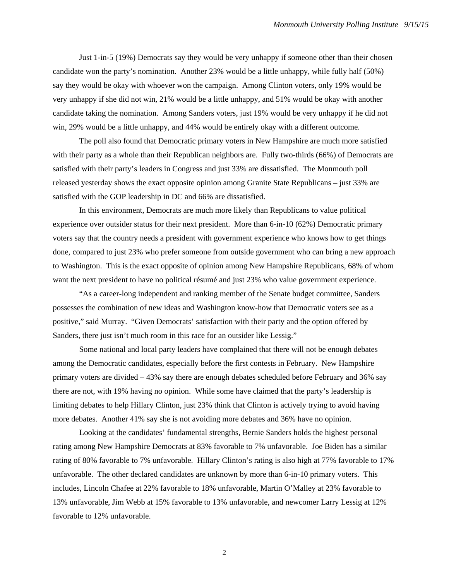Just 1-in-5 (19%) Democrats say they would be very unhappy if someone other than their chosen candidate won the party's nomination. Another 23% would be a little unhappy, while fully half (50%) say they would be okay with whoever won the campaign. Among Clinton voters, only 19% would be very unhappy if she did not win, 21% would be a little unhappy, and 51% would be okay with another candidate taking the nomination. Among Sanders voters, just 19% would be very unhappy if he did not win, 29% would be a little unhappy, and 44% would be entirely okay with a different outcome.

The poll also found that Democratic primary voters in New Hampshire are much more satisfied with their party as a whole than their Republican neighbors are. Fully two-thirds (66%) of Democrats are satisfied with their party's leaders in Congress and just 33% are dissatisfied. The Monmouth poll released yesterday shows the exact opposite opinion among Granite State Republicans – just 33% are satisfied with the GOP leadership in DC and 66% are dissatisfied.

In this environment, Democrats are much more likely than Republicans to value political experience over outsider status for their next president. More than 6-in-10 (62%) Democratic primary voters say that the country needs a president with government experience who knows how to get things done, compared to just 23% who prefer someone from outside government who can bring a new approach to Washington. This is the exact opposite of opinion among New Hampshire Republicans, 68% of whom want the next president to have no political résumé and just 23% who value government experience.

"As a career-long independent and ranking member of the Senate budget committee, Sanders possesses the combination of new ideas and Washington know-how that Democratic voters see as a positive," said Murray. "Given Democrats' satisfaction with their party and the option offered by Sanders, there just isn't much room in this race for an outsider like Lessig."

Some national and local party leaders have complained that there will not be enough debates among the Democratic candidates, especially before the first contests in February. New Hampshire primary voters are divided – 43% say there are enough debates scheduled before February and 36% say there are not, with 19% having no opinion. While some have claimed that the party's leadership is limiting debates to help Hillary Clinton, just 23% think that Clinton is actively trying to avoid having more debates. Another 41% say she is not avoiding more debates and 36% have no opinion.

Looking at the candidates' fundamental strengths, Bernie Sanders holds the highest personal rating among New Hampshire Democrats at 83% favorable to 7% unfavorable. Joe Biden has a similar rating of 80% favorable to 7% unfavorable. Hillary Clinton's rating is also high at 77% favorable to 17% unfavorable. The other declared candidates are unknown by more than 6-in-10 primary voters. This includes, Lincoln Chafee at 22% favorable to 18% unfavorable, Martin O'Malley at 23% favorable to 13% unfavorable, Jim Webb at 15% favorable to 13% unfavorable, and newcomer Larry Lessig at 12% favorable to 12% unfavorable.

2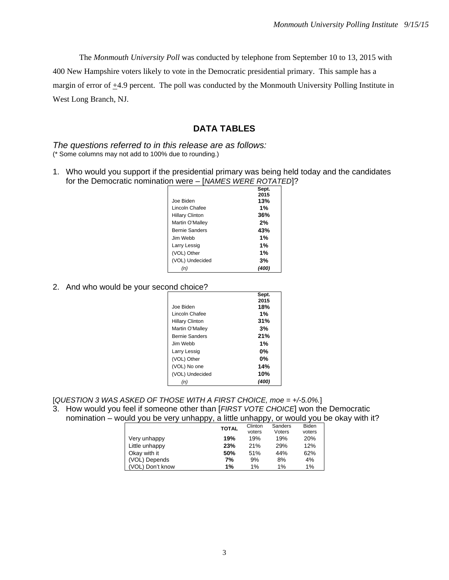The *Monmouth University Poll* was conducted by telephone from September 10 to 13, 2015 with 400 New Hampshire voters likely to vote in the Democratic presidential primary. This sample has a margin of error of  $\pm$ 4.9 percent. The poll was conducted by the Monmouth University Polling Institute in West Long Branch, NJ.

## **DATA TABLES**

*The questions referred to in this release are as follows:*  (\* Some columns may not add to 100% due to rounding.)

1. Who would you support if the presidential primary was being held today and the candidates for the Democratic nomination were – [*NAMES WERE ROTATED*]?

|                        | Sept. |
|------------------------|-------|
|                        | 2015  |
| Joe Biden              | 13%   |
| Lincoln Chafee         | 1%    |
| <b>Hillary Clinton</b> | 36%   |
| Martin O'Malley        | 2%    |
| <b>Bernie Sanders</b>  | 43%   |
| Jim Webb.              | 1%    |
| Larry Lessig           | 1%    |
| (VOL) Other            | 1%    |
| (VOL) Undecided        | 3%    |
| (n)                    | (400) |

## 2. And who would be your second choice?

|                        | Sept. |
|------------------------|-------|
|                        | 2015  |
| Joe Biden              | 18%   |
| Lincoln Chafee         | 1%    |
| <b>Hillary Clinton</b> | 31%   |
| Martin O'Malley        | 3%    |
| <b>Bernie Sanders</b>  | 21%   |
| Jim Webb.              | 1%    |
| Larry Lessig           | $0\%$ |
| (VOL) Other            | $0\%$ |
| (VOL) No one           | 14%   |
| (VOL) Undecided        | 10%   |
| n.                     |       |

[*QUESTION 3 WAS ASKED OF THOSE WITH A FIRST CHOICE, moe = +/-5.0%.*] 3. How would you feel if someone other than [*FIRST VOTE CHOICE*] won the Democratic

## nomination – would you be very unhappy, a little unhappy, or would you be okay with it?

|                  | <b>TOTAL</b> | Clinton | Sanders | <b>Biden</b> |
|------------------|--------------|---------|---------|--------------|
|                  |              | voters  | Voters  | voters       |
| Very unhappy     | 19%          | 19%     | 19%     | <b>20%</b>   |
| Little unhappy   | 23%          | 21%     | 29%     | 12%          |
| Okay with it     | 50%          | 51%     | 44%     | 62%          |
| (VOL) Depends    | 7%           | 9%      | 8%      | 4%           |
| (VOL) Don't know | 1%           | 1%      | 1%      | 1%           |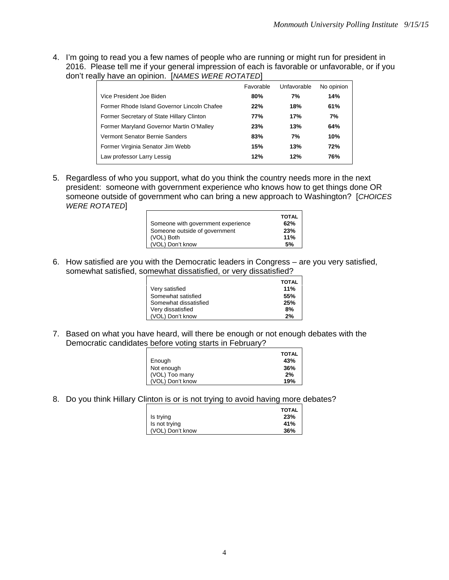4. I'm going to read you a few names of people who are running or might run for president in 2016. Please tell me if your general impression of each is favorable or unfavorable, or if you don't really have an opinion. [*NAMES WERE ROTATED*]

|                                             | Favorable | Unfavorable | No opinion |
|---------------------------------------------|-----------|-------------|------------|
| Vice President Joe Biden                    | 80%       | 7%          | 14%        |
| Former Rhode Island Governor Lincoln Chafee | 22%       | 18%         | 61%        |
| Former Secretary of State Hillary Clinton   | 77%       | 17%         | 7%         |
| Former Maryland Governor Martin O'Malley    | 23%       | 13%         | 64%        |
| Vermont Senator Bernie Sanders              | 83%       | 7%          | 10%        |
| Former Virginia Senator Jim Webb            | 15%       | 13%         | 72%        |
| Law professor Larry Lessig                  | 12%       | 12%         | 76%        |

5. Regardless of who you support, what do you think the country needs more in the next president: someone with government experience who knows how to get things done OR someone outside of government who can bring a new approach to Washington? [*CHOICES WERE ROTATED*]

|                                    | <b>TOTAL</b> |
|------------------------------------|--------------|
| Someone with government experience | 62%          |
| Someone outside of government      | 23%          |
| (VOL) Both                         | 11%          |
| (VOL) Don't know                   | 5%           |

6. How satisfied are you with the Democratic leaders in Congress – are you very satisfied, somewhat satisfied, somewhat dissatisfied, or very dissatisfied?

|                       | <b>TOTAL</b> |
|-----------------------|--------------|
| Very satisfied        | 11%          |
| Somewhat satisfied    | 55%          |
| Somewhat dissatisfied | 25%          |
| Very dissatisfied     | 8%           |
| (VOL) Don't know      | 2%           |

7. Based on what you have heard, will there be enough or not enough debates with the Democratic candidates before voting starts in February?

| Enough           | <b>TOTAL</b><br>43% |
|------------------|---------------------|
| Not enough       | 36%                 |
| (VOL) Too many   | 2%                  |
| (VOL) Don't know | 19%                 |

8. Do you think Hillary Clinton is or is not trying to avoid having more debates?

|                  | <b>TOTAL</b> |
|------------------|--------------|
| Is trying        | 23%          |
| Is not trying    | 41%          |
| (VOL) Don't know | 36%          |